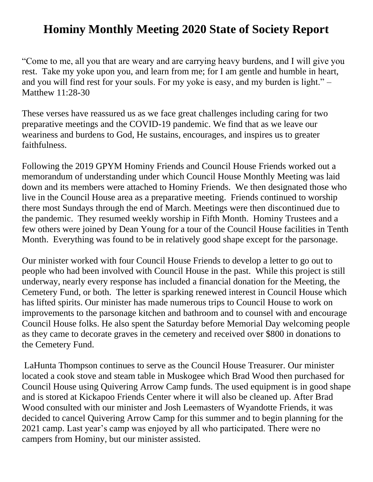## **Hominy Monthly Meeting 2020 State of Society Report**

"Come to me, all you that are weary and are carrying heavy burdens, and I will give you rest. Take my yoke upon you, and learn from me; for I am gentle and humble in heart, and you will find rest for your souls. For my yoke is easy, and my burden is light." – Matthew 11:28-30

These verses have reassured us as we face great challenges including caring for two preparative meetings and the COVID-19 pandemic. We find that as we leave our weariness and burdens to God, He sustains, encourages, and inspires us to greater faithfulness.

Following the 2019 GPYM Hominy Friends and Council House Friends worked out a memorandum of understanding under which Council House Monthly Meeting was laid down and its members were attached to Hominy Friends. We then designated those who live in the Council House area as a preparative meeting. Friends continued to worship there most Sundays through the end of March. Meetings were then discontinued due to the pandemic. They resumed weekly worship in Fifth Month. Hominy Trustees and a few others were joined by Dean Young for a tour of the Council House facilities in Tenth Month. Everything was found to be in relatively good shape except for the parsonage.

Our minister worked with four Council House Friends to develop a letter to go out to people who had been involved with Council House in the past. While this project is still underway, nearly every response has included a financial donation for the Meeting, the Cemetery Fund, or both. The letter is sparking renewed interest in Council House which has lifted spirits. Our minister has made numerous trips to Council House to work on improvements to the parsonage kitchen and bathroom and to counsel with and encourage Council House folks. He also spent the Saturday before Memorial Day welcoming people as they came to decorate graves in the cemetery and received over \$800 in donations to the Cemetery Fund.

LaHunta Thompson continues to serve as the Council House Treasurer. Our minister located a cook stove and steam table in Muskogee which Brad Wood then purchased for Council House using Quivering Arrow Camp funds. The used equipment is in good shape and is stored at Kickapoo Friends Center where it will also be cleaned up. After Brad Wood consulted with our minister and Josh Leemasters of Wyandotte Friends, it was decided to cancel Quivering Arrow Camp for this summer and to begin planning for the 2021 camp. Last year's camp was enjoyed by all who participated. There were no campers from Hominy, but our minister assisted.